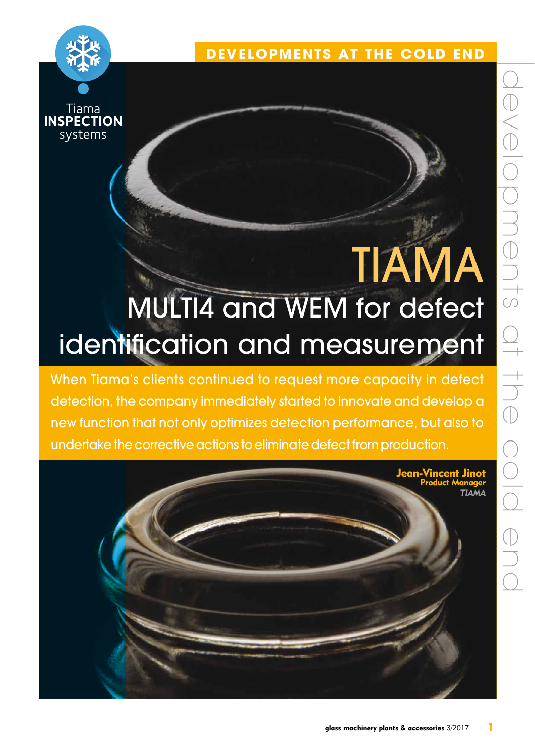

Tiama **INSPECTION** systems

# **TIAMA** MULTI4 and WEM for defect identification and measurement

When Tiama's clients continued to request more capacity in defect detection, the company immediately started to innovate and develop a new function that not only optimizes detection performance, but also to undertake the corrective actions to eliminate defect from production.

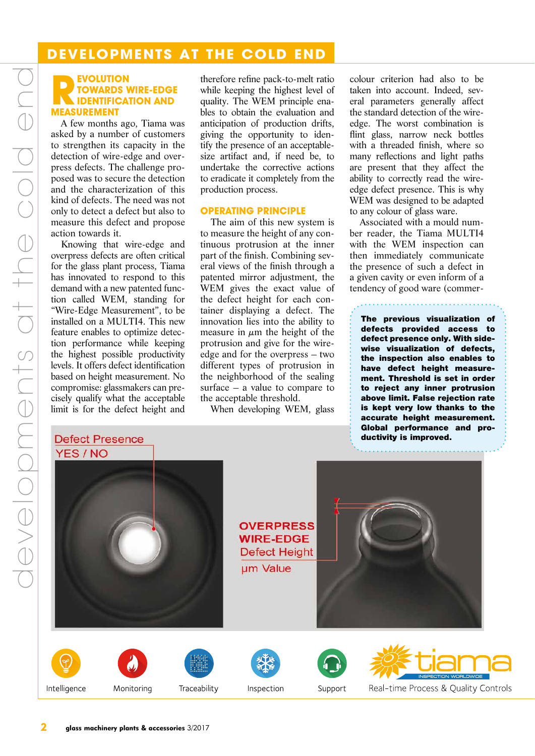# **Developments at the cold end**

### **REVOLUTION<br>
REVOLUTION<br>
REASIDEMENT towards wire-edge identification and measurement**

A few months ago, Tiama was asked by a number of customers to strengthen its capacity in the detection of wire-edge and overpress defects. The challenge proposed was to secure the detection and the characterization of this kind of defects. The need was not only to detect a defect but also to measure this defect and propose action towards it.

Knowing that wire-edge and overpress defects are often critical for the glass plant process, Tiama has innovated to respond to this demand with a new patented function called WEM, standing for "Wire-Edge Measurement", to be installed on a MULTI4. This new feature enables to optimize detection performance while keeping the highest possible productivity levels. It offers defect identification based on height measurement. No compromise: glassmakers can precisely qualify what the acceptable limit is for the defect height and

developments at the cold end

developments at the cold enc

therefore refine pack-to-melt ratio while keeping the highest level of quality. The WEM principle enables to obtain the evaluation and anticipation of production drifts, giving the opportunity to identify the presence of an acceptablesize artifact and, if need be, to undertake the corrective actions to eradicate it completely from the production process.

### **Operating principle**

The aim of this new system is to measure the height of any continuous protrusion at the inner part of the finish. Combining several views of the finish through a patented mirror adjustment, the WEM gives the exact value of the defect height for each container displaying a defect. The innovation lies into the ability to measure in  $\mu$ m the height of the protrusion and give for the wireedge and for the overpress – two different types of protrusion in the neighborhood of the sealing surface – a value to compare to the acceptable threshold.

When developing WEM, glass

colour criterion had also to be taken into account. Indeed, several parameters generally affect the standard detection of the wireedge. The worst combination is flint glass, narrow neck bottles with a threaded finish, where so many reflections and light paths are present that they affect the ability to correctly read the wireedge defect presence. This is why WEM was designed to be adapted to any colour of glass ware.

Associated with a mould number reader, the Tiama MULTI4 with the WEM inspection can then immediately communicate the presence of such a defect in a given cavity or even inform of a tendency of good ware (commer-

The previous visualization of defects provided access to defect presence only. With sidewise visualization of defects, the inspection also enables to have defect height measurement. Threshold is set in order to reject any inner protrusion above limit. False rejection rate is kept very low thanks to the accurate height measurement. Global performance and productivity is improved.

### **Defect Presence** YES / NO



**OVERPRESS WIRE-EDGE Defect Height** um Value











Inspection





Monitoring

Traceability

Support

Real-time Process & Quality Controls